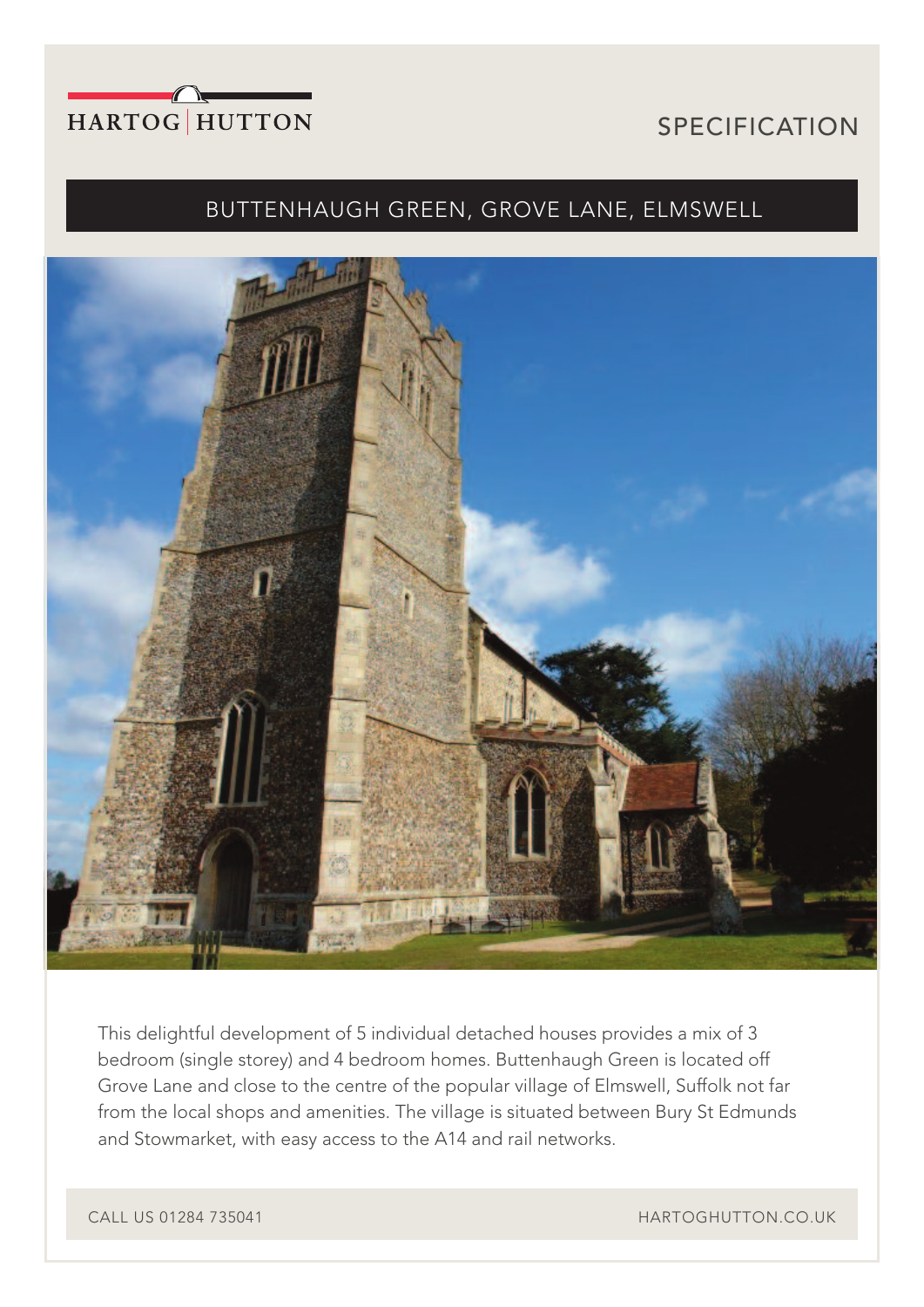

# SPECIFICATION

## BUTTENHAUGH GREEN, GROVE LANE, ELMSWELL



This delightful development of 5 individual detached houses provides a mix of 3 bedroom (single storey) and 4 bedroom homes. Buttenhaugh Green is located off Grove Lane and close to the centre of the popular village of Elmswell, Suffolk not far from the local shops and amenities. The village is situated between Bury St Edmunds and Stowmarket, with easy access to the A14 and rail networks.

CALL US 01284 735041 **HARTOGHUTTON.CO.UK**